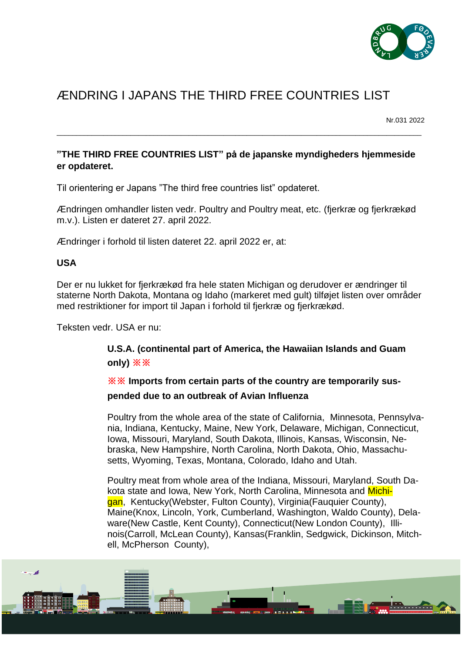

# ÆNDRING I JAPANS THE THIRD FREE COUNTRIES LIST

Nr.031 2022

### **"THE THIRD FREE COUNTRIES LIST" på de japanske myndigheders hjemmeside er opdateret.**

\_\_\_\_\_\_\_\_\_\_\_\_\_\_\_\_\_\_\_\_\_\_\_\_\_\_\_\_\_\_\_\_\_\_\_\_\_\_\_\_\_\_\_\_\_\_\_\_\_\_\_\_\_\_\_\_\_\_\_\_\_\_\_\_\_\_\_\_\_\_\_\_\_\_\_\_\_\_\_\_\_\_\_\_\_\_\_\_\_\_\_\_\_\_

Til orientering er Japans "The third free countries list" opdateret.

Ændringen omhandler listen vedr. Poultry and Poultry meat, etc. (fjerkræ og fjerkrækød m.v.). Listen er dateret 27. april 2022.

Ændringer i forhold til listen dateret 22. april 2022 er, at:

#### **USA**

Der er nu lukket for fjerkrækød fra hele staten Michigan og derudover er ændringer til staterne North Dakota, Montana og Idaho (markeret med gult) tilføjet listen over områder med restriktioner for import til Japan i forhold til fjerkræ og fjerkrækød.

Teksten vedr. USA er nu:

## **U.S.A. (continental part of America, the Hawaiian Islands and Guam only) ※※**

## **※※ Imports from certain parts of the country are temporarily suspended due to an outbreak of Avian Influenza**

Poultry from the whole area of the state of California, Minnesota, Pennsylvania, Indiana, Kentucky, Maine, New York, Delaware, Michigan, Connecticut, Iowa, Missouri, Maryland, South Dakota, Illinois, Kansas, Wisconsin, Nebraska, New Hampshire, North Carolina, North Dakota, Ohio, Massachusetts, Wyoming, Texas, Montana, Colorado, Idaho and Utah.

Poultry meat from whole area of the Indiana, Missouri, Maryland, South Dakota state and Iowa, New York, North Carolina, Minnesota and Michigan, Kentucky(Webster, Fulton County), Virginia(Fauquier County), Maine(Knox, Lincoln, York, Cumberland, Washington, Waldo County), Delaware(New Castle, Kent County), Connecticut(New London County), Illinois(Carroll, McLean County), Kansas(Franklin, Sedgwick, Dickinson, Mitchell, McPherson County),